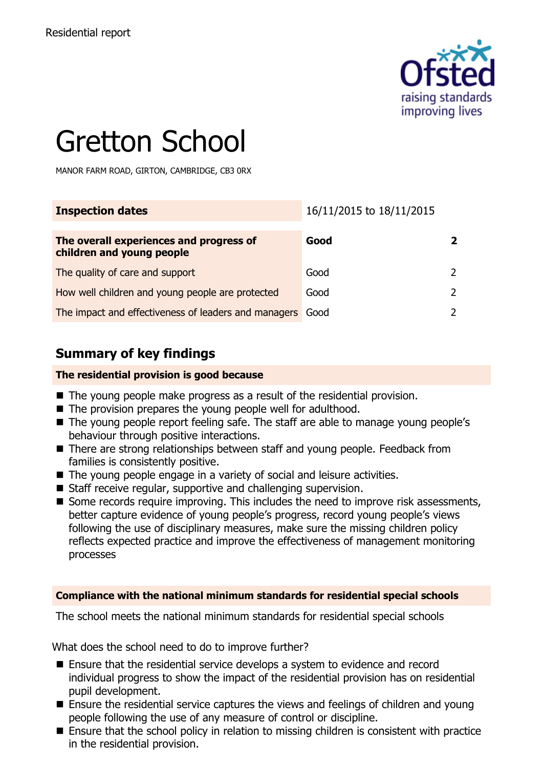

# Gretton School

MANOR FARM ROAD, GIRTON, CAMBRIDGE, CB3 0RX

| <b>Inspection dates</b>                                              | 16/11/2015 to 18/11/2015 |  |
|----------------------------------------------------------------------|--------------------------|--|
| The overall experiences and progress of<br>children and young people | Good                     |  |
| The quality of care and support                                      | Good                     |  |
| How well children and young people are protected                     | Good                     |  |
| The impact and effectiveness of leaders and managers                 | Good                     |  |

#### **Summary of key findings**

#### **The residential provision is good because**

- The young people make progress as a result of the residential provision.
- The provision prepares the young people well for adulthood.
- The young people report feeling safe. The staff are able to manage young people's behaviour through positive interactions.
- There are strong relationships between staff and young people. Feedback from families is consistently positive.
- The young people engage in a variety of social and leisure activities.
- Staff receive regular, supportive and challenging supervision.
- Some records require improving. This includes the need to improve risk assessments, better capture evidence of young people's progress, record young people's views following the use of disciplinary measures, make sure the missing children policy reflects expected practice and improve the effectiveness of management monitoring processes

#### **Compliance with the national minimum standards for residential special schools**

The school meets the national minimum standards for residential special schools

What does the school need to do to improve further?

- Ensure that the residential service develops a system to evidence and record individual progress to show the impact of the residential provision has on residential pupil development.
- Ensure the residential service captures the views and feelings of children and young people following the use of any measure of control or discipline.
- Ensure that the school policy in relation to missing children is consistent with practice in the residential provision.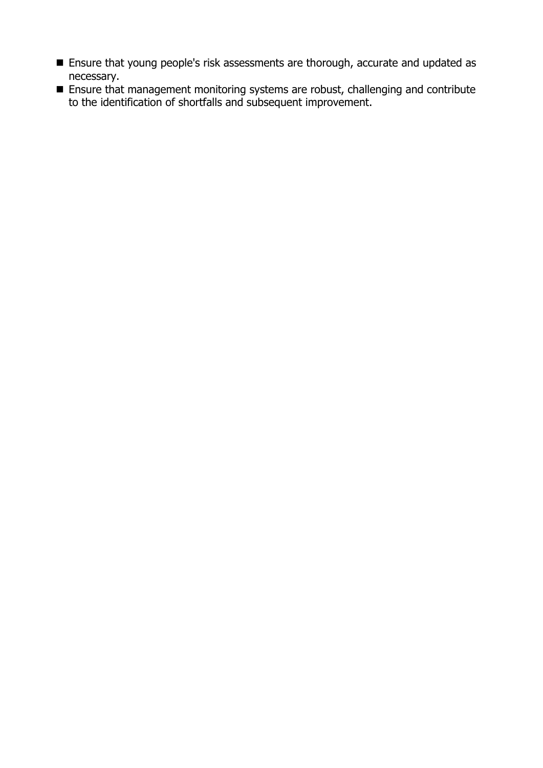- **Ensure that young people's risk assessments are thorough, accurate and updated as** necessary.
- Ensure that management monitoring systems are robust, challenging and contribute to the identification of shortfalls and subsequent improvement.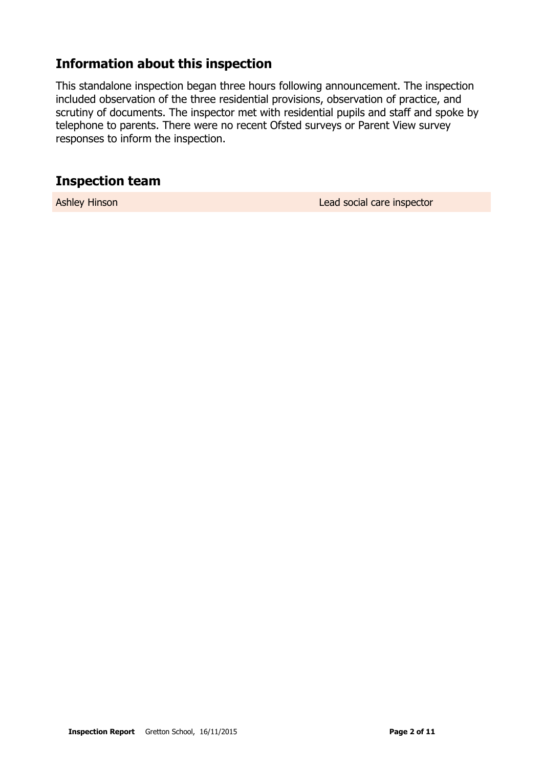#### **Information about this inspection**

This standalone inspection began three hours following announcement. The inspection included observation of the three residential provisions, observation of practice, and scrutiny of documents. The inspector met with residential pupils and staff and spoke by telephone to parents. There were no recent Ofsted surveys or Parent View survey responses to inform the inspection.

#### **Inspection team**

Ashley Hinson **Lead social care inspector**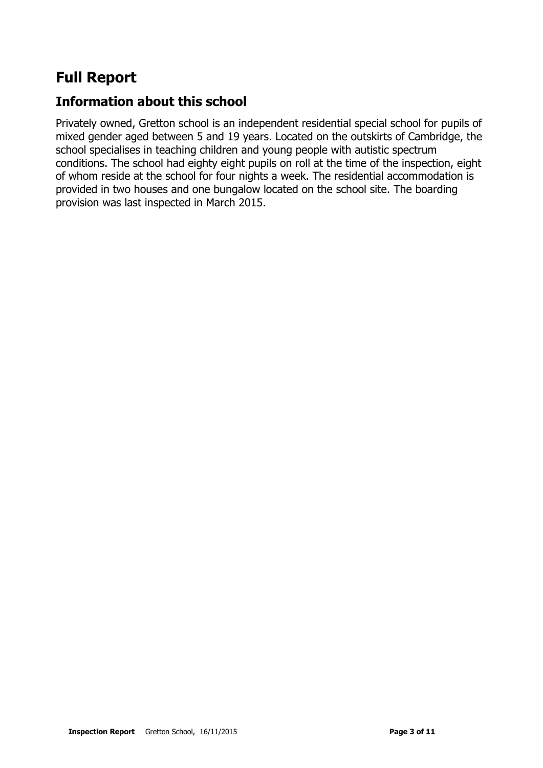### **Full Report**

#### **Information about this school**

Privately owned, Gretton school is an independent residential special school for pupils of mixed gender aged between 5 and 19 years. Located on the outskirts of Cambridge, the school specialises in teaching children and young people with autistic spectrum conditions. The school had eighty eight pupils on roll at the time of the inspection, eight of whom reside at the school for four nights a week. The residential accommodation is provided in two houses and one bungalow located on the school site. The boarding provision was last inspected in March 2015.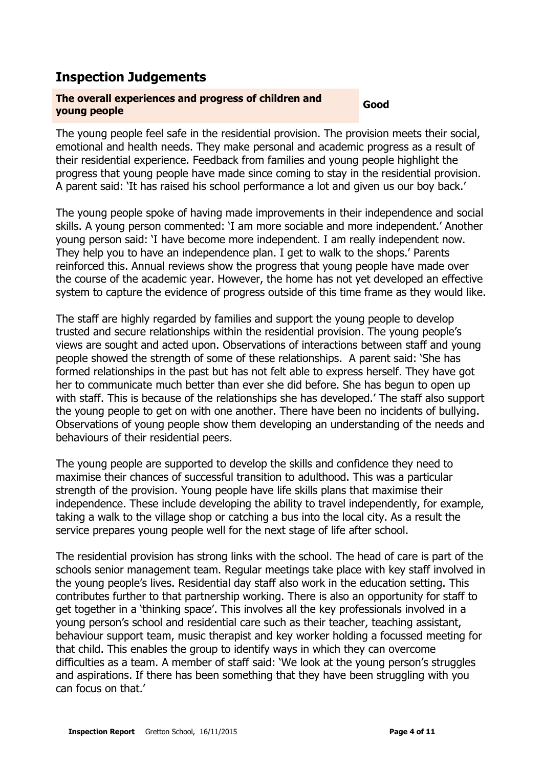#### **Inspection Judgements**

## **The overall experiences and progress of children and young people Good**

The young people feel safe in the residential provision. The provision meets their social, emotional and health needs. They make personal and academic progress as a result of their residential experience. Feedback from families and young people highlight the progress that young people have made since coming to stay in the residential provision. A parent said: 'It has raised his school performance a lot and given us our boy back.'

The young people spoke of having made improvements in their independence and social skills. A young person commented: 'I am more sociable and more independent.' Another young person said: 'I have become more independent. I am really independent now. They help you to have an independence plan. I get to walk to the shops.' Parents reinforced this. Annual reviews show the progress that young people have made over the course of the academic year. However, the home has not yet developed an effective system to capture the evidence of progress outside of this time frame as they would like.

The staff are highly regarded by families and support the young people to develop trusted and secure relationships within the residential provision. The young people's views are sought and acted upon. Observations of interactions between staff and young people showed the strength of some of these relationships. A parent said: 'She has formed relationships in the past but has not felt able to express herself. They have got her to communicate much better than ever she did before. She has begun to open up with staff. This is because of the relationships she has developed.' The staff also support the young people to get on with one another. There have been no incidents of bullying. Observations of young people show them developing an understanding of the needs and behaviours of their residential peers.

The young people are supported to develop the skills and confidence they need to maximise their chances of successful transition to adulthood. This was a particular strength of the provision. Young people have life skills plans that maximise their independence. These include developing the ability to travel independently, for example, taking a walk to the village shop or catching a bus into the local city. As a result the service prepares young people well for the next stage of life after school.

The residential provision has strong links with the school. The head of care is part of the schools senior management team. Regular meetings take place with key staff involved in the young people's lives. Residential day staff also work in the education setting. This contributes further to that partnership working. There is also an opportunity for staff to get together in a 'thinking space'. This involves all the key professionals involved in a young person's school and residential care such as their teacher, teaching assistant, behaviour support team, music therapist and key worker holding a focussed meeting for that child. This enables the group to identify ways in which they can overcome difficulties as a team. A member of staff said: 'We look at the young person's struggles and aspirations. If there has been something that they have been struggling with you can focus on that.'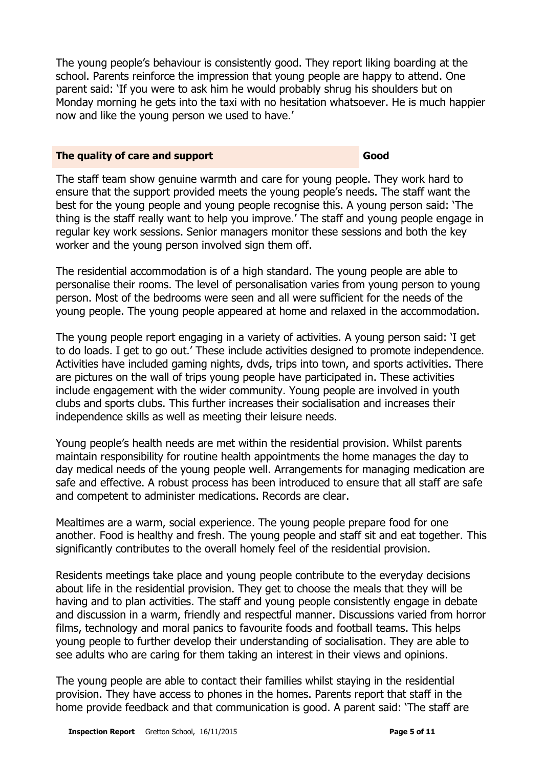The young people's behaviour is consistently good. They report liking boarding at the school. Parents reinforce the impression that young people are happy to attend. One parent said: 'If you were to ask him he would probably shrug his shoulders but on Monday morning he gets into the taxi with no hesitation whatsoever. He is much happier now and like the young person we used to have.'

#### **The quality of care and support Good Good**

The staff team show genuine warmth and care for young people. They work hard to ensure that the support provided meets the young people's needs. The staff want the best for the young people and young people recognise this. A young person said: 'The thing is the staff really want to help you improve.' The staff and young people engage in regular key work sessions. Senior managers monitor these sessions and both the key worker and the young person involved sign them off.

The residential accommodation is of a high standard. The young people are able to personalise their rooms. The level of personalisation varies from young person to young person. Most of the bedrooms were seen and all were sufficient for the needs of the young people. The young people appeared at home and relaxed in the accommodation.

The young people report engaging in a variety of activities. A young person said: 'I get to do loads. I get to go out.' These include activities designed to promote independence. Activities have included gaming nights, dvds, trips into town, and sports activities. There are pictures on the wall of trips young people have participated in. These activities include engagement with the wider community. Young people are involved in youth clubs and sports clubs. This further increases their socialisation and increases their independence skills as well as meeting their leisure needs.

Young people's health needs are met within the residential provision. Whilst parents maintain responsibility for routine health appointments the home manages the day to day medical needs of the young people well. Arrangements for managing medication are safe and effective. A robust process has been introduced to ensure that all staff are safe and competent to administer medications. Records are clear.

Mealtimes are a warm, social experience. The young people prepare food for one another. Food is healthy and fresh. The young people and staff sit and eat together. This significantly contributes to the overall homely feel of the residential provision.

Residents meetings take place and young people contribute to the everyday decisions about life in the residential provision. They get to choose the meals that they will be having and to plan activities. The staff and young people consistently engage in debate and discussion in a warm, friendly and respectful manner. Discussions varied from horror films, technology and moral panics to favourite foods and football teams. This helps young people to further develop their understanding of socialisation. They are able to see adults who are caring for them taking an interest in their views and opinions.

The young people are able to contact their families whilst staying in the residential provision. They have access to phones in the homes. Parents report that staff in the home provide feedback and that communication is good. A parent said: 'The staff are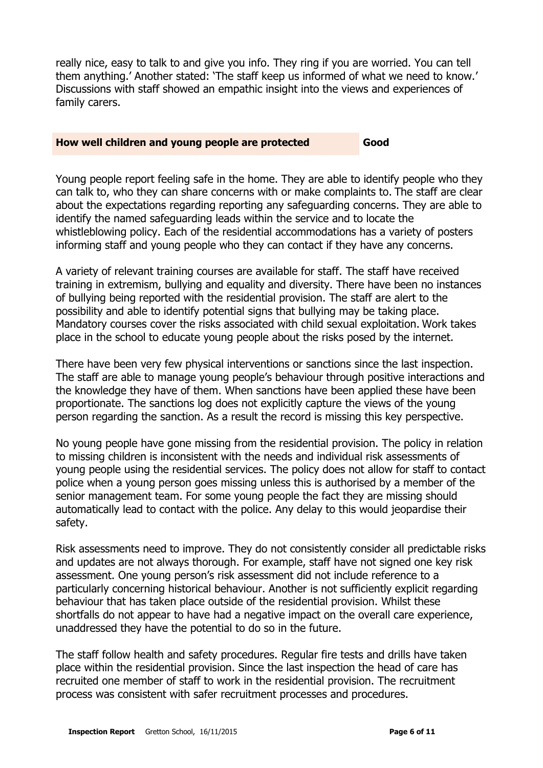really nice, easy to talk to and give you info. They ring if you are worried. You can tell them anything.' Another stated: 'The staff keep us informed of what we need to know.' Discussions with staff showed an empathic insight into the views and experiences of family carers.

#### **How well children and young people are protected <b>Good**

Young people report feeling safe in the home. They are able to identify people who they can talk to, who they can share concerns with or make complaints to. The staff are clear about the expectations regarding reporting any safeguarding concerns. They are able to identify the named safeguarding leads within the service and to locate the whistleblowing policy. Each of the residential accommodations has a variety of posters informing staff and young people who they can contact if they have any concerns.

A variety of relevant training courses are available for staff. The staff have received training in extremism, bullying and equality and diversity. There have been no instances of bullying being reported with the residential provision. The staff are alert to the possibility and able to identify potential signs that bullying may be taking place. Mandatory courses cover the risks associated with child sexual exploitation. Work takes place in the school to educate young people about the risks posed by the internet.

There have been very few physical interventions or sanctions since the last inspection. The staff are able to manage young people's behaviour through positive interactions and the knowledge they have of them. When sanctions have been applied these have been proportionate. The sanctions log does not explicitly capture the views of the young person regarding the sanction. As a result the record is missing this key perspective.

No young people have gone missing from the residential provision. The policy in relation to missing children is inconsistent with the needs and individual risk assessments of young people using the residential services. The policy does not allow for staff to contact police when a young person goes missing unless this is authorised by a member of the senior management team. For some young people the fact they are missing should automatically lead to contact with the police. Any delay to this would jeopardise their safety.

Risk assessments need to improve. They do not consistently consider all predictable risks and updates are not always thorough. For example, staff have not signed one key risk assessment. One young person's risk assessment did not include reference to a particularly concerning historical behaviour. Another is not sufficiently explicit regarding behaviour that has taken place outside of the residential provision. Whilst these shortfalls do not appear to have had a negative impact on the overall care experience, unaddressed they have the potential to do so in the future.

The staff follow health and safety procedures. Regular fire tests and drills have taken place within the residential provision. Since the last inspection the head of care has recruited one member of staff to work in the residential provision. The recruitment process was consistent with safer recruitment processes and procedures.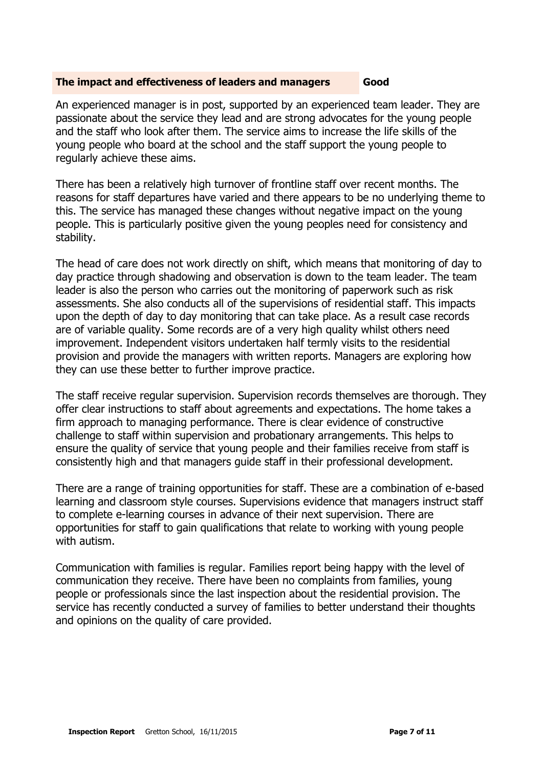#### **The impact and effectiveness of leaders and managers Good**

An experienced manager is in post, supported by an experienced team leader. They are passionate about the service they lead and are strong advocates for the young people and the staff who look after them. The service aims to increase the life skills of the young people who board at the school and the staff support the young people to regularly achieve these aims.

There has been a relatively high turnover of frontline staff over recent months. The reasons for staff departures have varied and there appears to be no underlying theme to this. The service has managed these changes without negative impact on the young people. This is particularly positive given the young peoples need for consistency and stability.

The head of care does not work directly on shift, which means that monitoring of day to day practice through shadowing and observation is down to the team leader. The team leader is also the person who carries out the monitoring of paperwork such as risk assessments. She also conducts all of the supervisions of residential staff. This impacts upon the depth of day to day monitoring that can take place. As a result case records are of variable quality. Some records are of a very high quality whilst others need improvement. Independent visitors undertaken half termly visits to the residential provision and provide the managers with written reports. Managers are exploring how they can use these better to further improve practice.

The staff receive regular supervision. Supervision records themselves are thorough. They offer clear instructions to staff about agreements and expectations. The home takes a firm approach to managing performance. There is clear evidence of constructive challenge to staff within supervision and probationary arrangements. This helps to ensure the quality of service that young people and their families receive from staff is consistently high and that managers guide staff in their professional development.

There are a range of training opportunities for staff. These are a combination of e-based learning and classroom style courses. Supervisions evidence that managers instruct staff to complete e-learning courses in advance of their next supervision. There are opportunities for staff to gain qualifications that relate to working with young people with autism.

Communication with families is regular. Families report being happy with the level of communication they receive. There have been no complaints from families, young people or professionals since the last inspection about the residential provision. The service has recently conducted a survey of families to better understand their thoughts and opinions on the quality of care provided.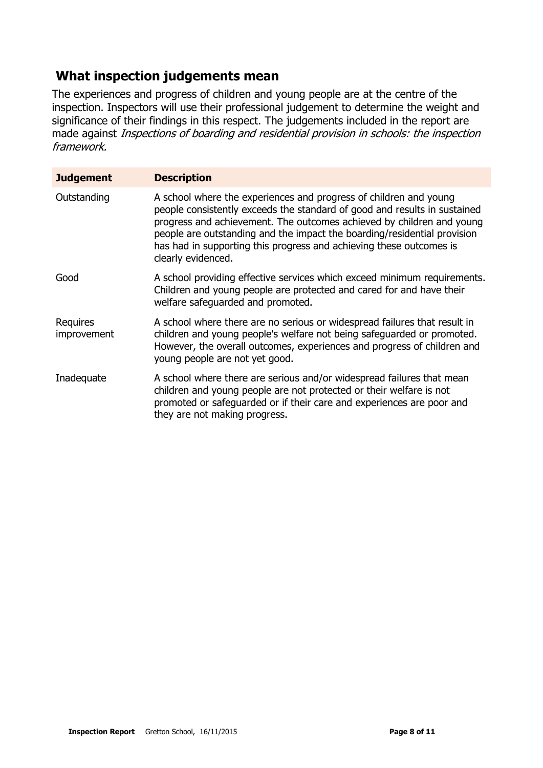#### **What inspection judgements mean**

The experiences and progress of children and young people are at the centre of the inspection. Inspectors will use their professional judgement to determine the weight and significance of their findings in this respect. The judgements included in the report are made against Inspections of boarding and residential provision in schools: the inspection framework.

| <b>Judgement</b>        | <b>Description</b>                                                                                                                                                                                                                                                                                                                                                                               |
|-------------------------|--------------------------------------------------------------------------------------------------------------------------------------------------------------------------------------------------------------------------------------------------------------------------------------------------------------------------------------------------------------------------------------------------|
| Outstanding             | A school where the experiences and progress of children and young<br>people consistently exceeds the standard of good and results in sustained<br>progress and achievement. The outcomes achieved by children and young<br>people are outstanding and the impact the boarding/residential provision<br>has had in supporting this progress and achieving these outcomes is<br>clearly evidenced. |
| Good                    | A school providing effective services which exceed minimum requirements.<br>Children and young people are protected and cared for and have their<br>welfare safequarded and promoted.                                                                                                                                                                                                            |
| Requires<br>improvement | A school where there are no serious or widespread failures that result in<br>children and young people's welfare not being safeguarded or promoted.<br>However, the overall outcomes, experiences and progress of children and<br>young people are not yet good.                                                                                                                                 |
| Inadequate              | A school where there are serious and/or widespread failures that mean<br>children and young people are not protected or their welfare is not<br>promoted or safeguarded or if their care and experiences are poor and<br>they are not making progress.                                                                                                                                           |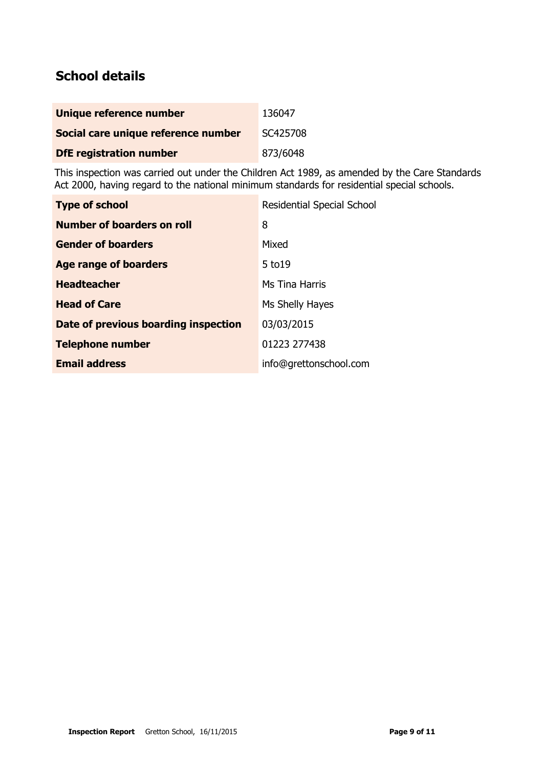#### **School details**

| Unique reference number             | 136047   |
|-------------------------------------|----------|
| Social care unique reference number | SC425708 |
| <b>DfE registration number</b>      | 873/6048 |

This inspection was carried out under the Children Act 1989, as amended by the Care Standards Act 2000, having regard to the national minimum standards for residential special schools.

| <b>Type of school</b>                | <b>Residential Special School</b> |
|--------------------------------------|-----------------------------------|
| Number of boarders on roll           | 8                                 |
| <b>Gender of boarders</b>            | Mixed                             |
| Age range of boarders                | $5$ to $19$                       |
| <b>Headteacher</b>                   | Ms Tina Harris                    |
| <b>Head of Care</b>                  | Ms Shelly Hayes                   |
| Date of previous boarding inspection | 03/03/2015                        |
| <b>Telephone number</b>              | 01223 277438                      |
| <b>Email address</b>                 | info@grettonschool.com            |